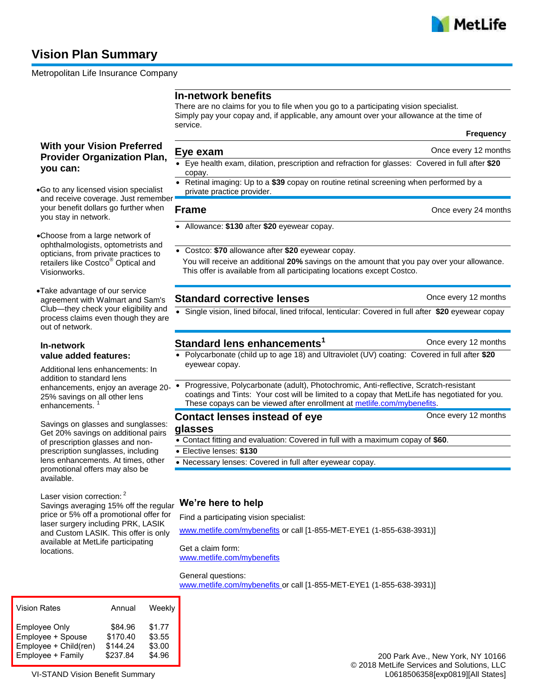

# **Vision Plan Summary**

Metropolitan Life Insurance Company

## **In-network benefits**

There are no claims for you to file when you go to a participating vision specialist. Simply pay your copay and, if applicable, any amount over your allowance at the time of service.

**Frequency**

## **With your Vision Preferred Provider Organization Plan, you can:**

- **Eye exam** Once every 12 months
- Eye health exam, dilation, prescription and refraction for glasses: Covered in full after **\$20** copay.
- Retinal imaging: Up to a **\$39** copay on routine retinal screening when performed by a private practice provider.

### **Frame Constanting Concernsive Concernsive Concernsive Concernsive Concernsive Concernsive Concernsive Concernsive Concernsive Concernsive Concernsive Concernsive Concernsive Concernsive Concernsive Concernsive Concernsi**

- Allowance: **\$130** after **\$20** eyewear copay.
- Costco: **\$70** allowance after **\$20** eyewear copay. You will receive an additional **20%** savings on the amount that you pay over your allowance. This offer is available from all participating locations except Costco.

## **Standard corrective lenses** and the state of the once every 12 months

Single vision, lined bifocal, lined trifocal, lenticular: Covered in full after **\$20** eyewear copay

## **Standard lens enhancements<sup>1</sup> Change Conce every 12 months**

 Polycarbonate (child up to age 18) and Ultraviolet (UV) coating: Covered in full after **\$20** eyewear copay.

### Progressive, Polycarbonate (adult), Photochromic, Anti-reflective, Scratch-resistant coatings and Tints: Your cost will be limited to a copay that MetLife has negotiated for you. These copays can be viewed after enrollment at [metlife.com/mybenefits.](http://www.metlife.com/mybenefits)

**Contact lenses instead of eye glasses**  Once every 12 months Contact fitting and evaluation: Covered in full with a maximum copay of **\$60**.

- Elective lenses: **\$130**
- Necessary lenses: Covered in full after eyewear copay.

## **We're here to help**

Find a participating vision specialist:

[www.metlife.com/mybenefits](http://www.metlife.com/mybenefits) or call [1-855-MET-EYE1 (1-855-638-3931)]

Get a claim form: [www.metlife.com/mybenefits](http://www.metlife.com/mybenefits)

### General questions:

[www.metlife.com/mybenefits](http://www.metlife.com/mybenefits) or call [1-855-MET-EYE1 (1-855-638-3931)]

| <b>Vision Rates</b>   | Annual   | Weekly |
|-----------------------|----------|--------|
| <b>Employee Only</b>  | \$84.96  | \$1.77 |
| Employee + Spouse     | \$170.40 | \$3.55 |
| Employee + Child(ren) | \$144.24 | \$3.00 |
| Employee + Family     | \$237.84 | \$4.96 |

VI-STAND Vision Benefit Summary

- Go to any licensed vision specialist and receive coverage. Just remember your benefit dollars go further when you stay in network.
- Choose from a large network of ophthalmologists, optometrists and opticians, from private practices to retailers like Costco<sup>®</sup> Optical and Visionworks.
- Take advantage of our service agreement with Walmart and Sam's Club—they check your eligibility and process claims even though they are out of network.

### **In-network value added features:**

Additional lens enhancements: In addition to standard lens enhancements, enjoy an average 20- • 25% savings on all other lens enhancements.

Savings on glasses and sunglasses: Get 20% savings on additional pairs of prescription glasses and nonprescription sunglasses, including lens enhancements. At times, other promotional offers may also be available.

Laser vision correction: <sup>2</sup> Savings averaging 15% off the regular price or 5% off a promotional offer for laser surgery including PRK, LASIK and Custom LASIK. This offer is only available at MetLife participating locations.